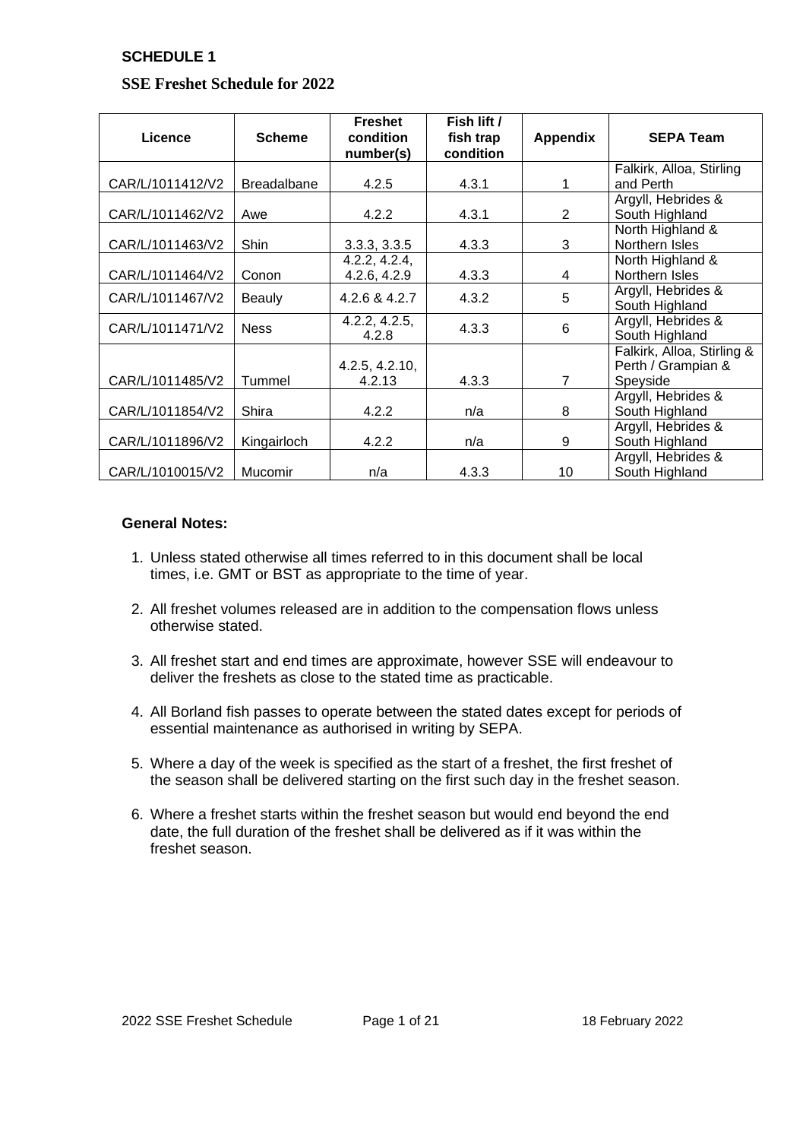## **SSE Freshet Schedule for 2022**

| Licence          | <b>Scheme</b>      | <b>Freshet</b><br>condition<br>number(s) | Fish lift /<br>fish trap<br>condition | <b>Appendix</b> | <b>SEPA Team</b>                                             |
|------------------|--------------------|------------------------------------------|---------------------------------------|-----------------|--------------------------------------------------------------|
| CAR/L/1011412/V2 | <b>Breadalbane</b> | 4.2.5                                    | 4.3.1                                 | 1               | Falkirk, Alloa, Stirling<br>and Perth                        |
| CAR/L/1011462/V2 | Awe                | 4.2.2                                    | 4.3.1                                 | 2               | Argyll, Hebrides &<br>South Highland                         |
| CAR/L/1011463/V2 | Shin               | 3.3.3, 3.3.5                             | 4.3.3                                 | 3               | North Highland &<br>Northern Isles                           |
| CAR/L/1011464/V2 | Conon              | 4.2.2, 4.2.4,<br>4.2.6, 4.2.9            | 4.3.3                                 | 4               | North Highland &<br>Northern Isles                           |
| CAR/L/1011467/V2 | <b>Beauly</b>      | 4.2.6 & 4.2.7                            | 4.3.2                                 | 5               | Argyll, Hebrides &<br>South Highland                         |
| CAR/L/1011471/V2 | <b>Ness</b>        | 4.2.2, 4.2.5,<br>4.2.8                   | 4.3.3                                 | 6               | Argyll, Hebrides &<br>South Highland                         |
| CAR/L/1011485/V2 | Tummel             | 4.2.5, 4.2.10,<br>4.2.13                 | 4.3.3                                 | $\overline{7}$  | Falkirk, Alloa, Stirling &<br>Perth / Grampian &<br>Speyside |
| CAR/L/1011854/V2 | Shira              | 4.2.2                                    | n/a                                   | 8               | Argyll, Hebrides &<br>South Highland                         |
| CAR/L/1011896/V2 | Kingairloch        | 4.2.2                                    | n/a                                   | 9               | Argyll, Hebrides &<br>South Highland                         |
| CAR/L/1010015/V2 | Mucomir            | n/a                                      | 4.3.3                                 | 10              | Argyll, Hebrides &<br>South Highland                         |

### **General Notes:**

- 1. Unless stated otherwise all times referred to in this document shall be local times, i.e. GMT or BST as appropriate to the time of year.
- 2. All freshet volumes released are in addition to the compensation flows unless otherwise stated.
- 3. All freshet start and end times are approximate, however SSE will endeavour to deliver the freshets as close to the stated time as practicable.
- 4. All Borland fish passes to operate between the stated dates except for periods of essential maintenance as authorised in writing by SEPA.
- 5. Where a day of the week is specified as the start of a freshet, the first freshet of the season shall be delivered starting on the first such day in the freshet season.
- 6. Where a freshet starts within the freshet season but would end beyond the end date, the full duration of the freshet shall be delivered as if it was within the freshet season.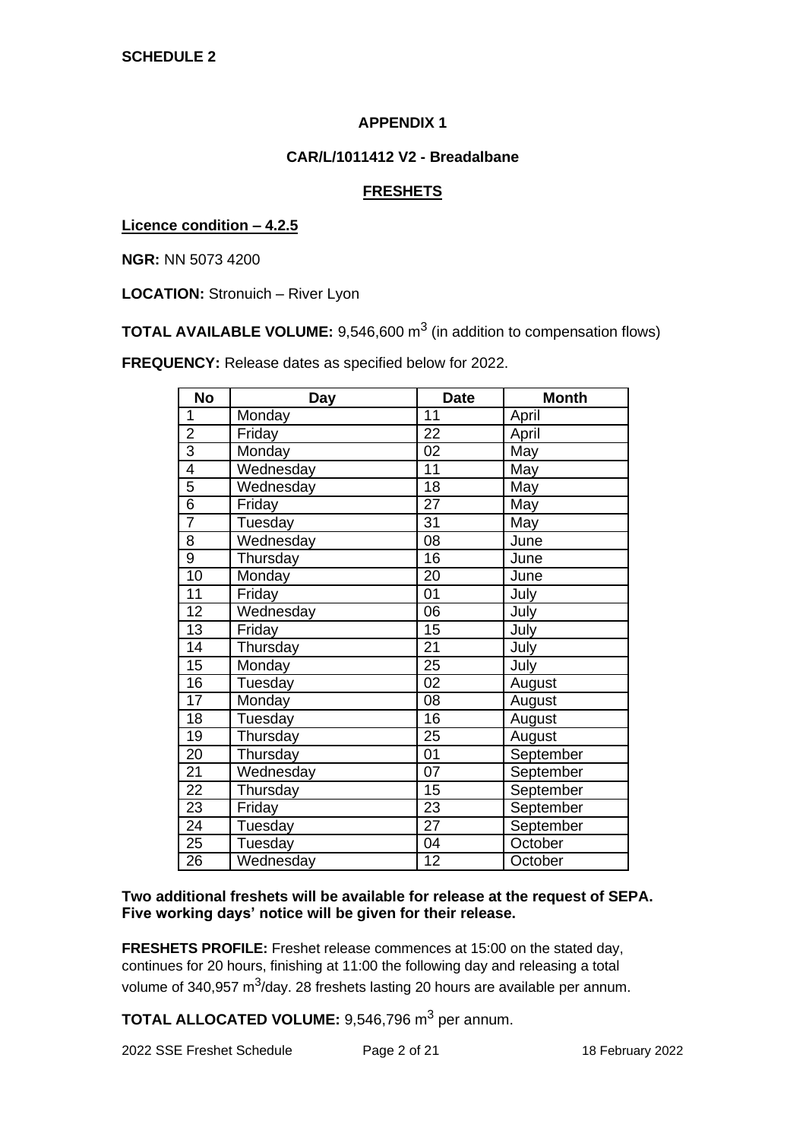### **CAR/L/1011412 V2 - Breadalbane**

## **FRESHETS**

**Licence condition – 4.2.5**

**NGR:** NN 5073 4200

**LOCATION:** Stronuich – River Lyon

**TOTAL AVAILABLE VOLUME:** 9,546,600 m<sup>3</sup> (in addition to compensation flows)

**FREQUENCY:** Release dates as specified below for 2022.

| <b>No</b>       | <b>Day</b> | <b>Date</b>     | <b>Month</b> |
|-----------------|------------|-----------------|--------------|
| 1               | Monday     | 11              | April        |
| $\overline{2}$  | Friday     | 22              | April        |
| $\overline{3}$  | Monday     | 02              | May          |
| $\overline{4}$  | Wednesday  | 11              | May          |
| $\overline{5}$  | Wednesday  | 18              | May          |
| $\overline{6}$  | Friday     | 27              | May          |
| $\overline{7}$  | Tuesday    | 31              | May          |
| $\overline{8}$  | Wednesday  | 08              | June         |
| $\overline{9}$  | Thursday   | 16              | June         |
| 10              | Monday     | 20              | June         |
| 11              | Friday     | 01              | July         |
| 12              | Wednesday  | 06              | July         |
| $\overline{13}$ | Friday     | 15              | July         |
| 14              | Thursday   | 21              | July         |
| 15              | Monday     | 25              | July         |
| 16              | Tuesday    | 02              | August       |
| $\overline{17}$ | Monday     | 08              | August       |
| 18              | Tuesday    | 16              | August       |
| 19              | Thursday   | 25              | August       |
| 20              | Thursday   | 01              | September    |
| $\overline{21}$ | Wednesday  | $\overline{07}$ | September    |
| $\overline{22}$ | Thursday   | 15              | September    |
| $\overline{23}$ | Friday     | 23              | September    |
| 24              | Tuesday    | 27              | September    |
| $\overline{25}$ | Tuesday    | 04              | October      |
| $\overline{26}$ | Wednesday  | 12              | October      |

### **Two additional freshets will be available for release at the request of SEPA. Five working days' notice will be given for their release.**

**FRESHETS PROFILE:** Freshet release commences at 15:00 on the stated day, continues for 20 hours, finishing at 11:00 the following day and releasing a total volume of 340,957 m<sup>3</sup>/day. 28 freshets lasting 20 hours are available per annum.

**TOTAL ALLOCATED VOLUME:** 9.546.796 m<sup>3</sup> per annum.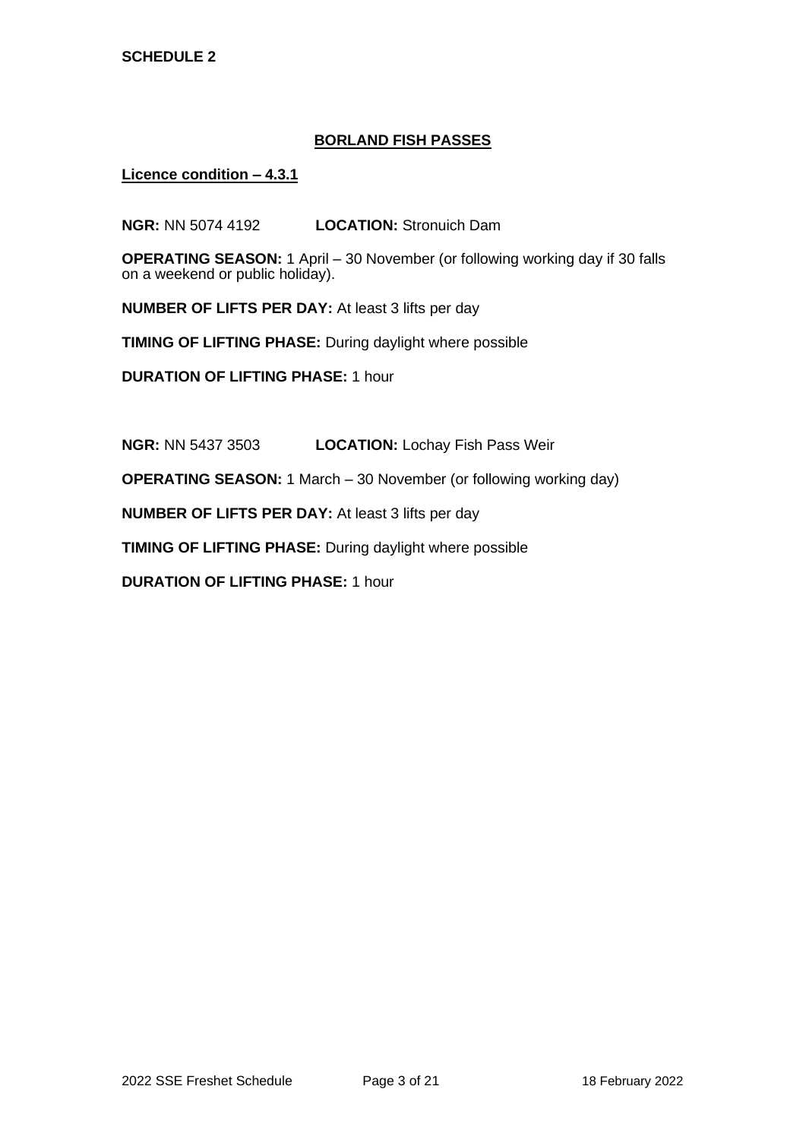### **BORLAND FISH PASSES**

**Licence condition – 4.3.1**

**NGR:** NN 5074 4192 **LOCATION:** Stronuich Dam

**OPERATING SEASON:** 1 April – 30 November (or following working day if 30 falls on a weekend or public holiday).

**NUMBER OF LIFTS PER DAY:** At least 3 lifts per day

**TIMING OF LIFTING PHASE:** During daylight where possible

**DURATION OF LIFTING PHASE:** 1 hour

**NGR:** NN 5437 3503 **LOCATION:** Lochay Fish Pass Weir

**OPERATING SEASON:** 1 March – 30 November (or following working day)

**NUMBER OF LIFTS PER DAY:** At least 3 lifts per day

**TIMING OF LIFTING PHASE:** During daylight where possible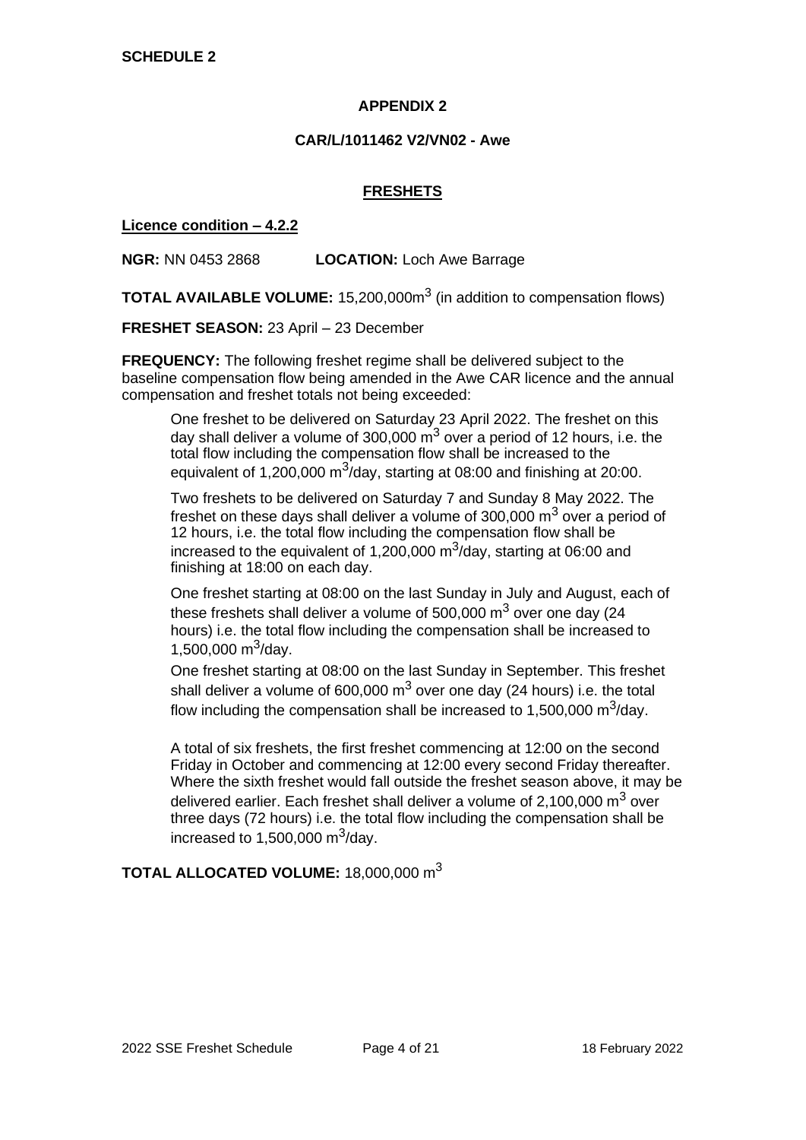### **CAR/L/1011462 V2/VN02 - Awe**

### **FRESHETS**

**Licence condition – 4.2.2**

**NGR:** NN 0453 2868 **LOCATION:** Loch Awe Barrage

**TOTAL AVAILABLE VOLUME:** 15,200,000m<sup>3</sup> (in addition to compensation flows)

**FRESHET SEASON:** 23 April – 23 December

**FREQUENCY:** The following freshet regime shall be delivered subject to the baseline compensation flow being amended in the Awe CAR licence and the annual compensation and freshet totals not being exceeded:

One freshet to be delivered on Saturday 23 April 2022. The freshet on this day shall deliver a volume of 300,000  $\mathrm{m}^3$  over a period of 12 hours, i.e. the total flow including the compensation flow shall be increased to the equivalent of 1,200,000  $m^3$ /day, starting at 08:00 and finishing at 20:00.

Two freshets to be delivered on Saturday 7 and Sunday 8 May 2022. The freshet on these days shall deliver a volume of  $300,000 \text{ m}^3$  over a period of 12 hours, i.e. the total flow including the compensation flow shall be increased to the equivalent of 1,200,000  $\text{m}^3$ /day, starting at 06:00 and finishing at 18:00 on each day.

One freshet starting at 08:00 on the last Sunday in July and August, each of these freshets shall deliver a volume of 500,000  $\text{m}^3$  over one day (24) hours) i.e. the total flow including the compensation shall be increased to 1,500,000  $\text{m}^3$ /day.

One freshet starting at 08:00 on the last Sunday in September. This freshet shall deliver a volume of 600,000  $m^3$  over one day (24 hours) i.e. the total flow including the compensation shall be increased to 1,500,000 m $3$ /day.

A total of six freshets, the first freshet commencing at 12:00 on the second Friday in October and commencing at 12:00 every second Friday thereafter. Where the sixth freshet would fall outside the freshet season above, it may be delivered earlier. Each freshet shall deliver a volume of 2.100,000  $\mathrm{m}^3$  over three days (72 hours) i.e. the total flow including the compensation shall be increased to 1,500,000 m $3/$ day.

# **TOTAL ALLOCATED VOLUME:** 18,000,000 m<sup>3</sup>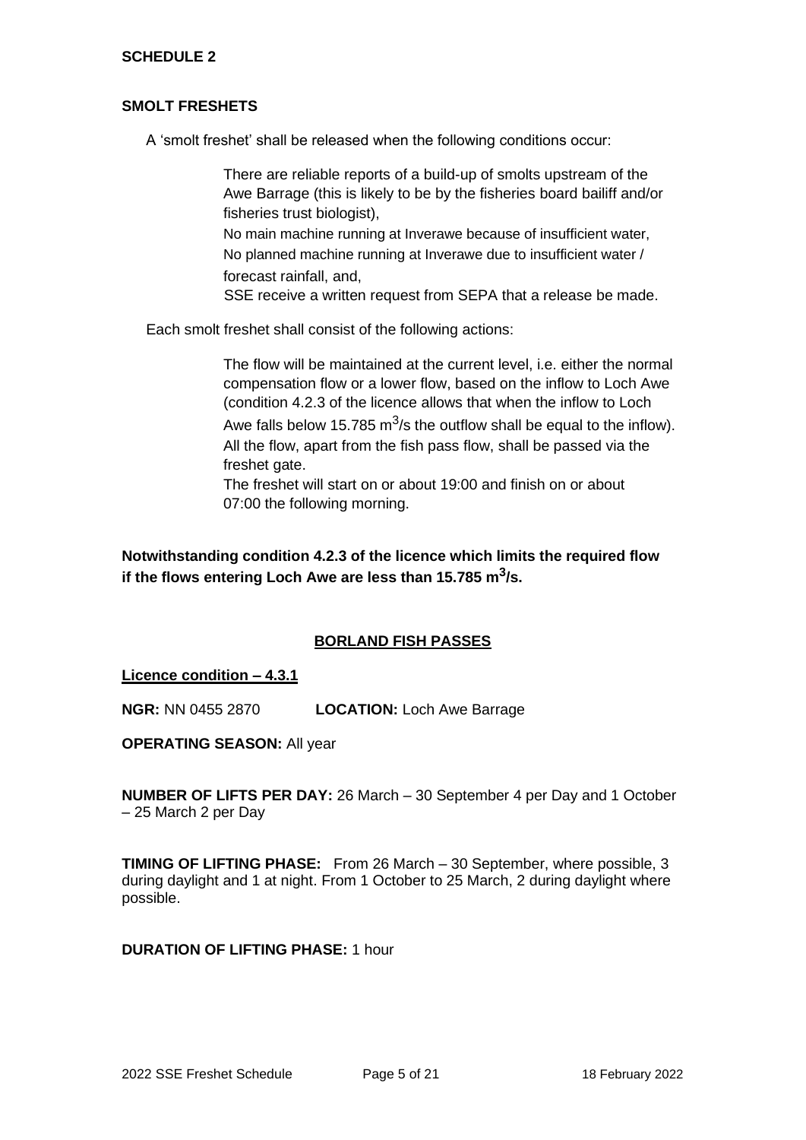### **SMOLT FRESHETS**

A 'smolt freshet' shall be released when the following conditions occur:

There are reliable reports of a build-up of smolts upstream of the Awe Barrage (this is likely to be by the fisheries board bailiff and/or fisheries trust biologist),

No main machine running at Inverawe because of insufficient water, No planned machine running at Inverawe due to insufficient water / forecast rainfall, and,

SSE receive a written request from SEPA that a release be made.

Each smolt freshet shall consist of the following actions:

The flow will be maintained at the current level, i.e. either the normal compensation flow or a lower flow, based on the inflow to Loch Awe (condition 4.2.3 of the licence allows that when the inflow to Loch Awe falls below 15.785 m<sup>3</sup>/s the outflow shall be equal to the inflow). All the flow, apart from the fish pass flow, shall be passed via the freshet gate.

The freshet will start on or about 19:00 and finish on or about 07:00 the following morning.

**Notwithstanding condition 4.2.3 of the licence which limits the required flow if the flows entering Loch Awe are less than 15.785 m<sup>3</sup> /s.**

### **BORLAND FISH PASSES**

**Licence condition – 4.3.1**

**NGR:** NN 0455 2870 **LOCATION:** Loch Awe Barrage

**OPERATING SEASON:** All year

**NUMBER OF LIFTS PER DAY:** 26 March – 30 September 4 per Day and 1 October – 25 March 2 per Day

**TIMING OF LIFTING PHASE:** From 26 March – 30 September, where possible, 3 during daylight and 1 at night. From 1 October to 25 March, 2 during daylight where possible.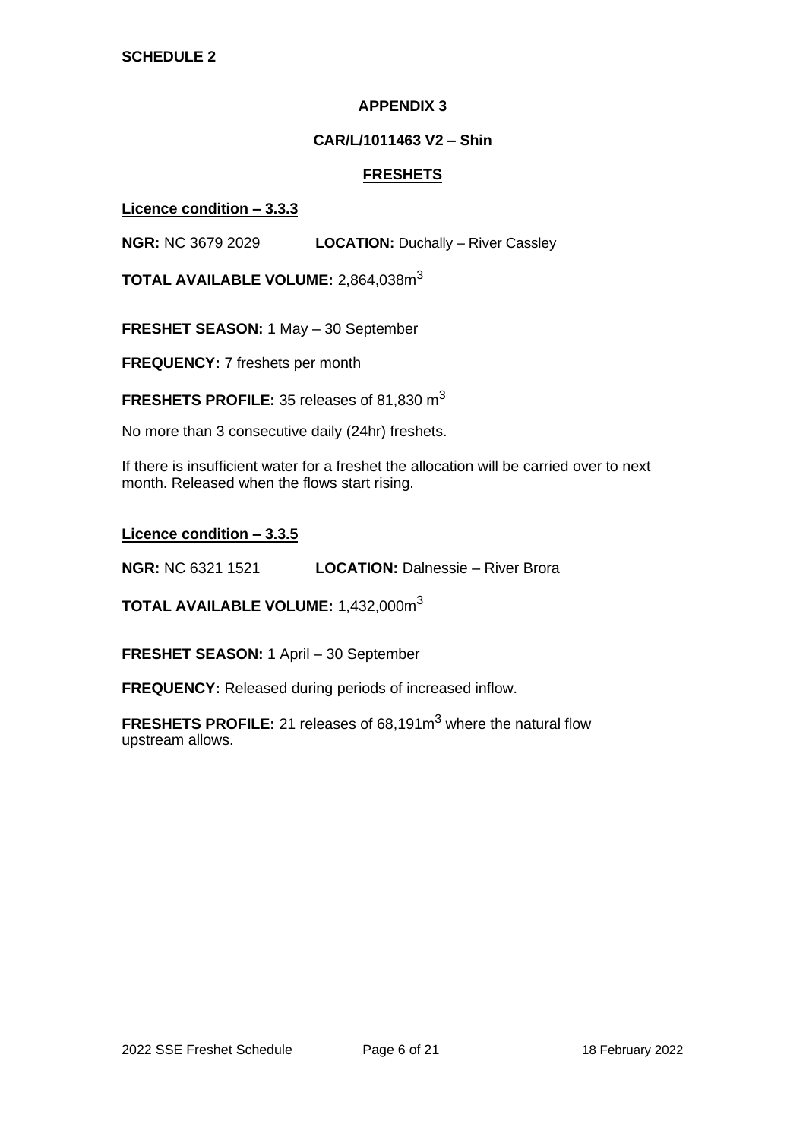### **CAR/L/1011463 V2 – Shin**

### **FRESHETS**

### **Licence condition – 3.3.3**

**NGR:** NC 3679 2029 **LOCATION:** Duchally – River Cassley

**TOTAL AVAILABLE VOLUME:** 2,864,038m<sup>3</sup>

**FRESHET SEASON:** 1 May – 30 September

**FREQUENCY:** 7 freshets per month

**FRESHETS PROFILE:** 35 releases of 81,830 m<sup>3</sup>

No more than 3 consecutive daily (24hr) freshets.

If there is insufficient water for a freshet the allocation will be carried over to next month. Released when the flows start rising.

**Licence condition – 3.3.5**

**NGR:** NC 6321 1521 **LOCATION:** Dalnessie – River Brora

**TOTAL AVAILABLE VOLUME:** 1,432,000m<sup>3</sup>

**FRESHET SEASON:** 1 April – 30 September

**FREQUENCY:** Released during periods of increased inflow.

**FRESHETS PROFILE:** 21 releases of 68.191m<sup>3</sup> where the natural flow upstream allows.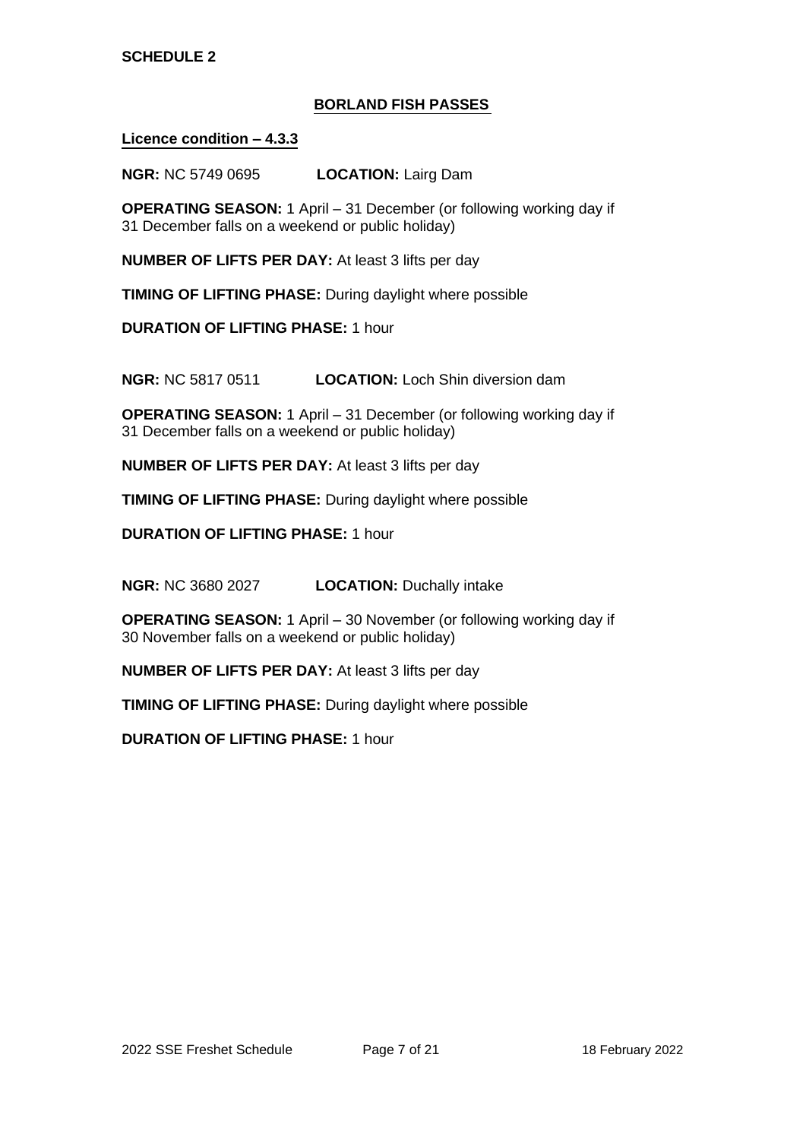# **BORLAND FISH PASSES**

### **Licence condition – 4.3.3**

**NGR:** NC 5749 0695 **LOCATION:** Lairg Dam

**OPERATING SEASON:** 1 April – 31 December (or following working day if 31 December falls on a weekend or public holiday)

**NUMBER OF LIFTS PER DAY:** At least 3 lifts per day

**TIMING OF LIFTING PHASE:** During daylight where possible

**DURATION OF LIFTING PHASE:** 1 hour

**NGR:** NC 5817 0511 **LOCATION:** Loch Shin diversion dam

**OPERATING SEASON:** 1 April – 31 December (or following working day if 31 December falls on a weekend or public holiday)

**NUMBER OF LIFTS PER DAY:** At least 3 lifts per day

**TIMING OF LIFTING PHASE:** During daylight where possible

**DURATION OF LIFTING PHASE:** 1 hour

**NGR:** NC 3680 2027 **LOCATION:** Duchally intake

**OPERATING SEASON:** 1 April – 30 November (or following working day if 30 November falls on a weekend or public holiday)

**NUMBER OF LIFTS PER DAY:** At least 3 lifts per day

**TIMING OF LIFTING PHASE:** During daylight where possible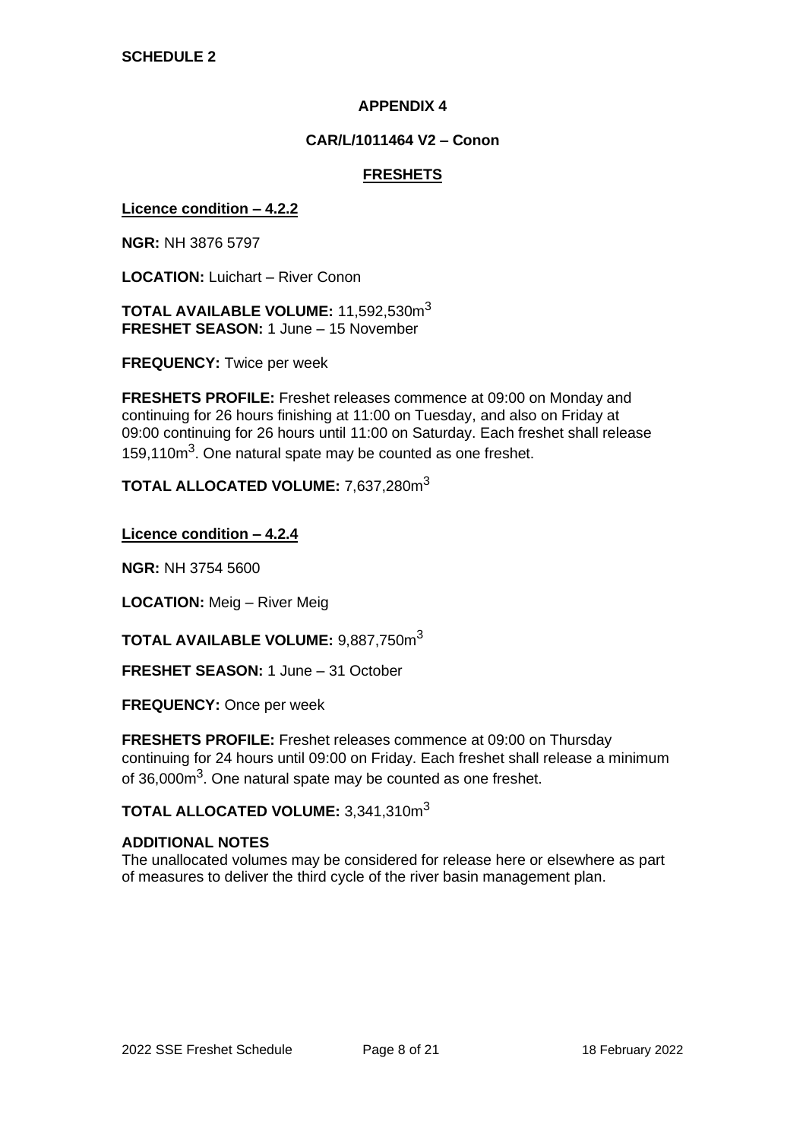## **CAR/L/1011464 V2 – Conon**

## **FRESHETS**

#### **Licence condition – 4.2.2**

**NGR:** NH 3876 5797

**LOCATION:** Luichart – River Conon

**TOTAL AVAILABLE VOLUME:** 11,592,530m<sup>3</sup> **FRESHET SEASON:** 1 June – 15 November

**FREQUENCY:** Twice per week

**FRESHETS PROFILE:** Freshet releases commence at 09:00 on Monday and continuing for 26 hours finishing at 11:00 on Tuesday, and also on Friday at 09:00 continuing for 26 hours until 11:00 on Saturday. Each freshet shall release 159,110m<sup>3</sup>. One natural spate may be counted as one freshet.

**TOTAL ALLOCATED VOLUME:** 7,637,280m<sup>3</sup>

**Licence condition – 4.2.4**

**NGR:** NH 3754 5600

**LOCATION:** Meig – River Meig

**TOTAL AVAILABLE VOLUME:** 9,887,750m<sup>3</sup>

**FRESHET SEASON:** 1 June – 31 October

**FREQUENCY:** Once per week

**FRESHETS PROFILE:** Freshet releases commence at 09:00 on Thursday continuing for 24 hours until 09:00 on Friday. Each freshet shall release a minimum of 36,000m<sup>3</sup>. One natural spate may be counted as one freshet.

**TOTAL ALLOCATED VOLUME:** 3,341,310m<sup>3</sup>

#### **ADDITIONAL NOTES**

The unallocated volumes may be considered for release here or elsewhere as part of measures to deliver the third cycle of the river basin management plan.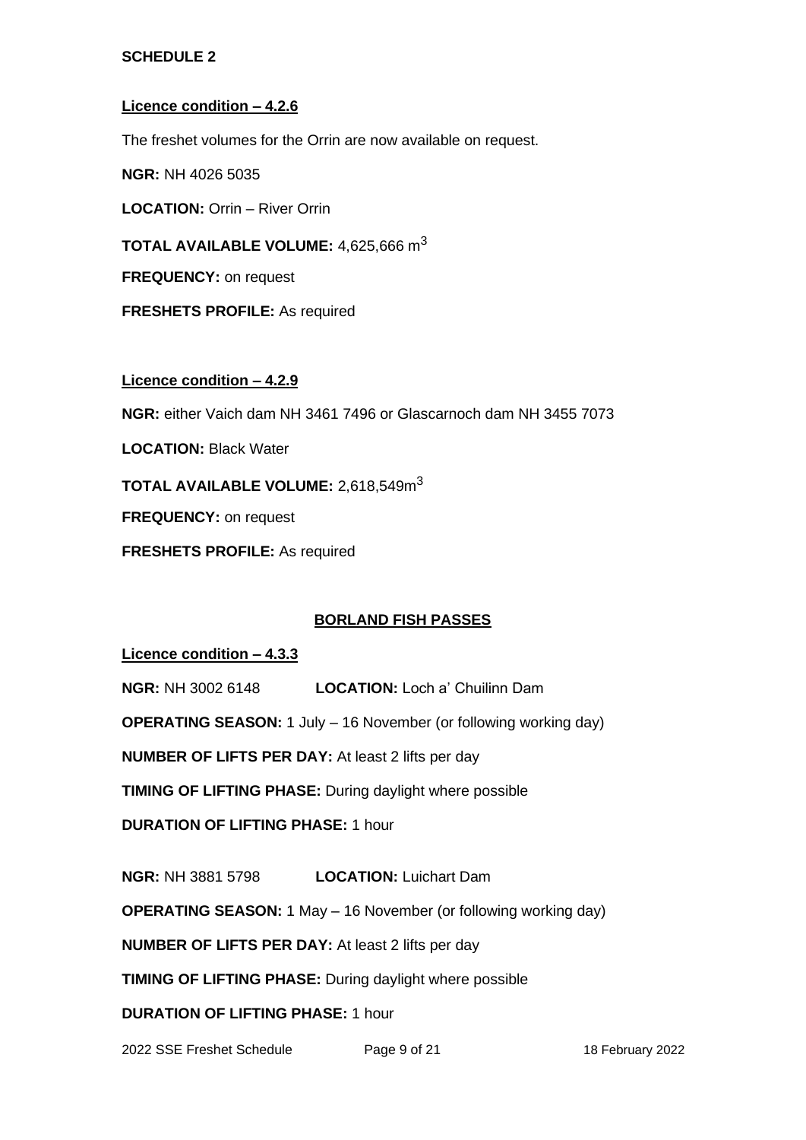### **Licence condition – 4.2.6**

The freshet volumes for the Orrin are now available on request.

**NGR:** NH 4026 5035

**LOCATION:** Orrin – River Orrin

**TOTAL AVAILABLE VOLUME:** 4,625,666 m<sup>3</sup>

**FREQUENCY:** on request

**FRESHETS PROFILE:** As required

#### **Licence condition – 4.2.9**

**NGR:** either Vaich dam NH 3461 7496 or Glascarnoch dam NH 3455 7073

**LOCATION:** Black Water

**TOTAL AVAILABLE VOLUME:** 2,618,549m<sup>3</sup>

**FREQUENCY:** on request

**FRESHETS PROFILE:** As required

### **BORLAND FISH PASSES**

**Licence condition – 4.3.3**

**NGR:** NH 3002 6148 **LOCATION:** Loch a' Chuilinn Dam

**OPERATING SEASON:** 1 July – 16 November (or following working day)

**NUMBER OF LIFTS PER DAY:** At least 2 lifts per day

**TIMING OF LIFTING PHASE:** During daylight where possible

**DURATION OF LIFTING PHASE:** 1 hour

**NGR:** NH 3881 5798 **LOCATION:** Luichart Dam

**OPERATING SEASON:** 1 May – 16 November (or following working day)

**NUMBER OF LIFTS PER DAY:** At least 2 lifts per day

**TIMING OF LIFTING PHASE:** During daylight where possible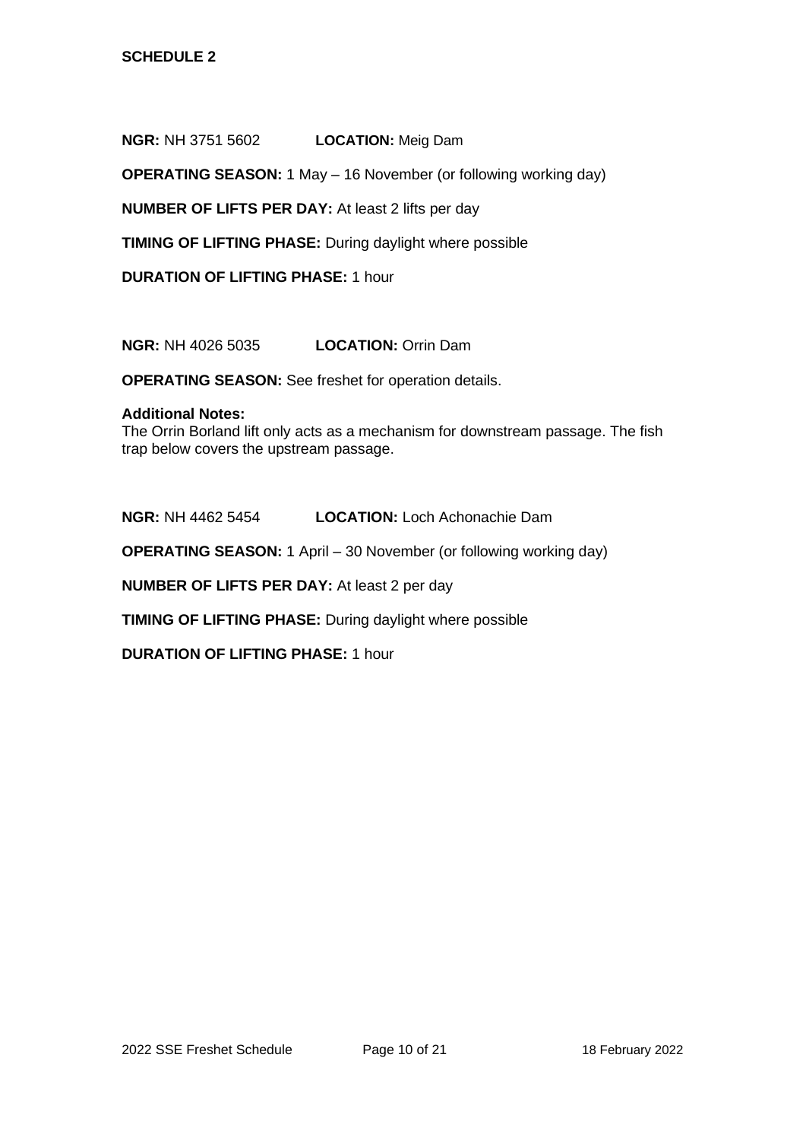**NGR:** NH 3751 5602 **LOCATION:** Meig Dam

**OPERATING SEASON:** 1 May – 16 November (or following working day)

**NUMBER OF LIFTS PER DAY:** At least 2 lifts per day

**TIMING OF LIFTING PHASE:** During daylight where possible

**DURATION OF LIFTING PHASE:** 1 hour

**NGR:** NH 4026 5035 **LOCATION:** Orrin Dam

**OPERATING SEASON:** See freshet for operation details.

#### **Additional Notes:**

The Orrin Borland lift only acts as a mechanism for downstream passage. The fish trap below covers the upstream passage.

**NGR:** NH 4462 5454 **LOCATION:** Loch Achonachie Dam

**OPERATING SEASON:** 1 April – 30 November (or following working day)

**NUMBER OF LIFTS PER DAY:** At least 2 per day

**TIMING OF LIFTING PHASE:** During daylight where possible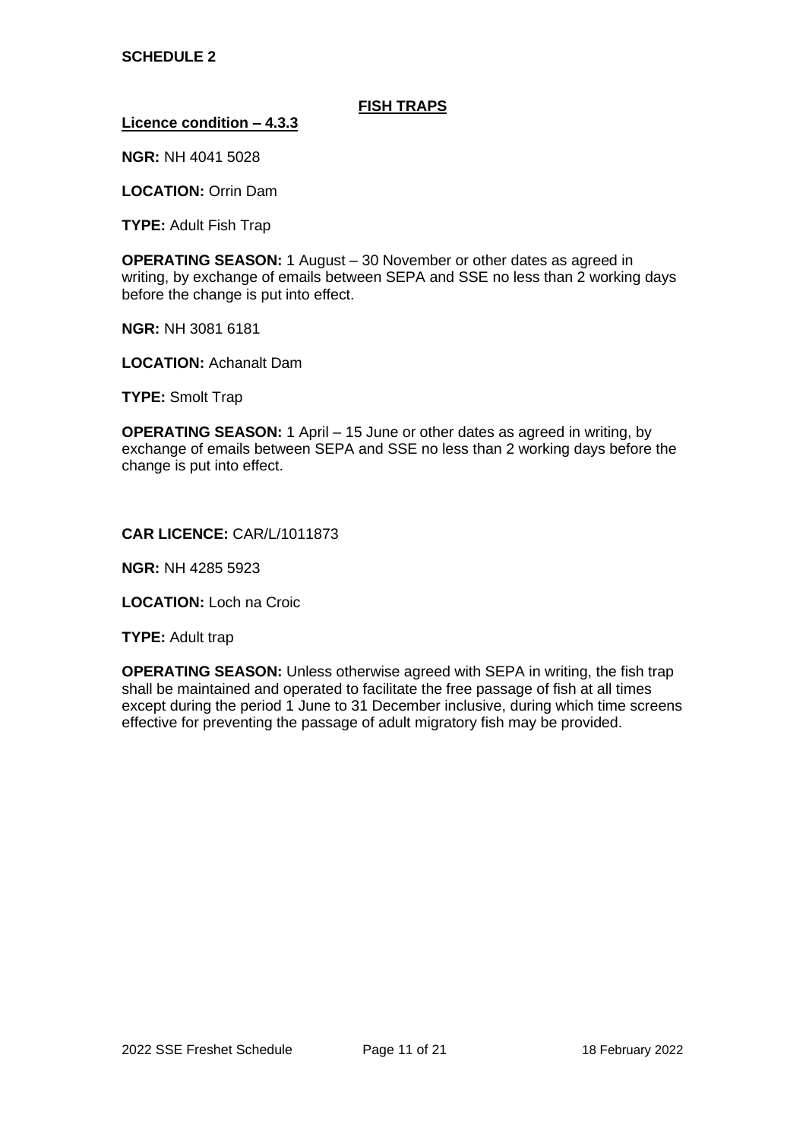#### **FISH TRAPS**

#### **Licence condition – 4.3.3**

**NGR:** NH 4041 5028

**LOCATION:** Orrin Dam

**TYPE:** Adult Fish Trap

**OPERATING SEASON:** 1 August – 30 November or other dates as agreed in writing, by exchange of emails between SEPA and SSE no less than 2 working days before the change is put into effect.

**NGR:** NH 3081 6181

**LOCATION:** Achanalt Dam

**TYPE:** Smolt Trap

**OPERATING SEASON:** 1 April – 15 June or other dates as agreed in writing, by exchange of emails between SEPA and SSE no less than 2 working days before the change is put into effect.

#### **CAR LICENCE:** CAR/L/1011873

**NGR:** NH 4285 5923

**LOCATION:** Loch na Croic

**TYPE: Adult trap** 

**OPERATING SEASON:** Unless otherwise agreed with SEPA in writing, the fish trap shall be maintained and operated to facilitate the free passage of fish at all times except during the period 1 June to 31 December inclusive, during which time screens effective for preventing the passage of adult migratory fish may be provided.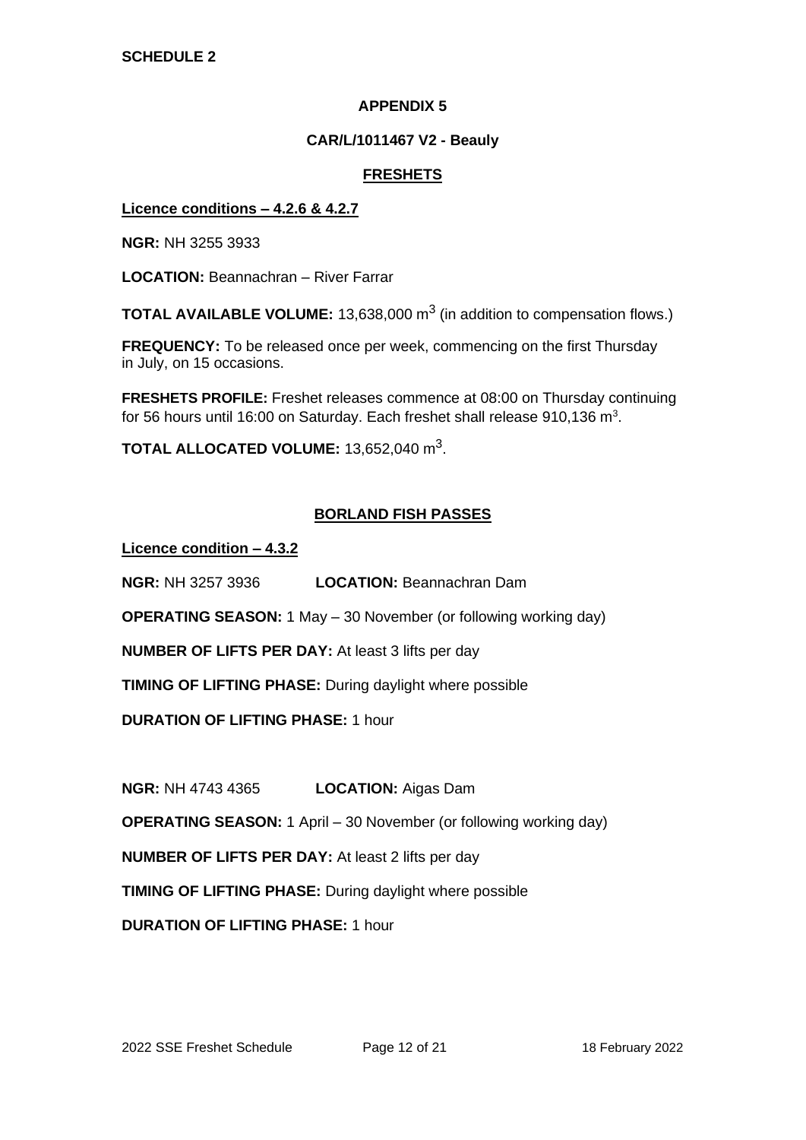## **CAR/L/1011467 V2 - Beauly**

## **FRESHETS**

### **Licence conditions – 4.2.6 & 4.2.7**

**NGR:** NH 3255 3933

**LOCATION:** Beannachran – River Farrar

**TOTAL AVAILABLE VOLUME:** 13,638,000 m<sup>3</sup> (in addition to compensation flows.)

**FREQUENCY:** To be released once per week, commencing on the first Thursday in July, on 15 occasions.

**FRESHETS PROFILE:** Freshet releases commence at 08:00 on Thursday continuing for 56 hours until 16:00 on Saturday. Each freshet shall release 910,136 m<sup>3</sup>.

**TOTAL ALLOCATED VOLUME:** 13,652,040 m<sup>3</sup> .

## **BORLAND FISH PASSES**

**Licence condition – 4.3.2**

**NGR:** NH 3257 3936 **LOCATION:** Beannachran Dam

**OPERATING SEASON:** 1 May – 30 November (or following working day)

**NUMBER OF LIFTS PER DAY:** At least 3 lifts per day

**TIMING OF LIFTING PHASE:** During daylight where possible

**DURATION OF LIFTING PHASE:** 1 hour

**NGR:** NH 4743 4365 **LOCATION:** Aigas Dam

**OPERATING SEASON:** 1 April – 30 November (or following working day)

**NUMBER OF LIFTS PER DAY:** At least 2 lifts per day

**TIMING OF LIFTING PHASE:** During daylight where possible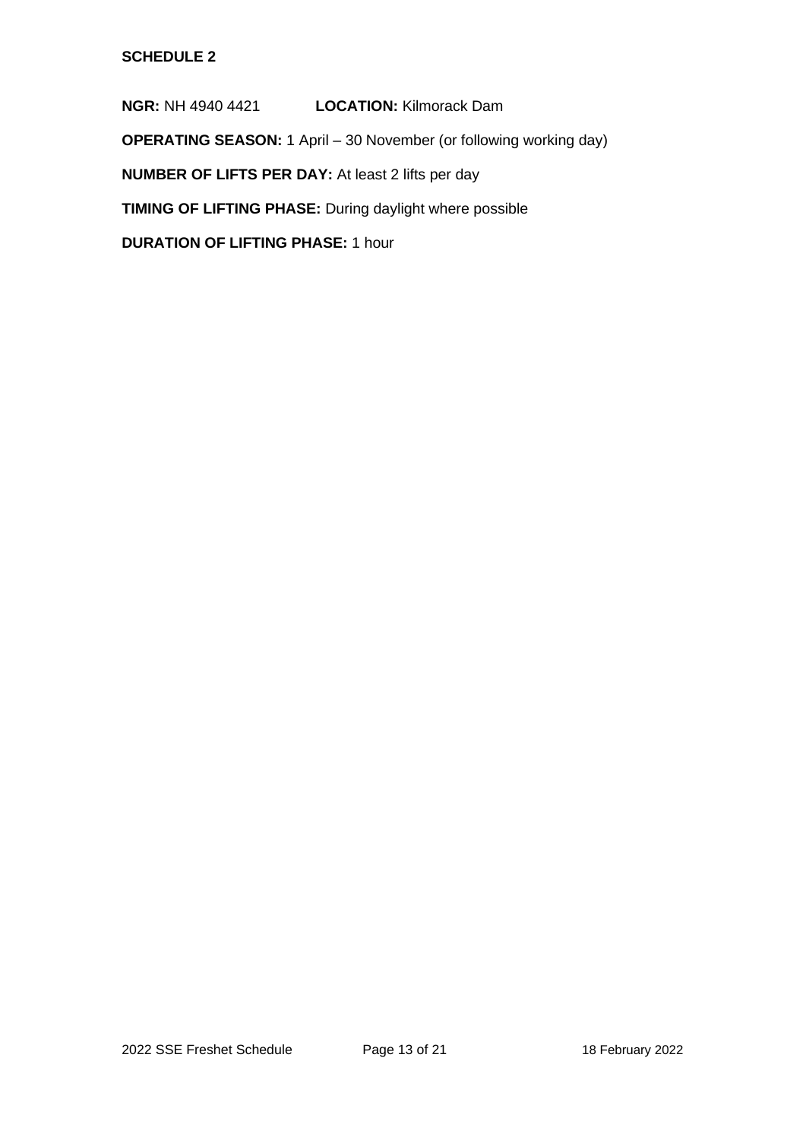**NGR:** NH 4940 4421 **LOCATION:** Kilmorack Dam

**OPERATING SEASON:** 1 April – 30 November (or following working day)

**NUMBER OF LIFTS PER DAY:** At least 2 lifts per day

**TIMING OF LIFTING PHASE:** During daylight where possible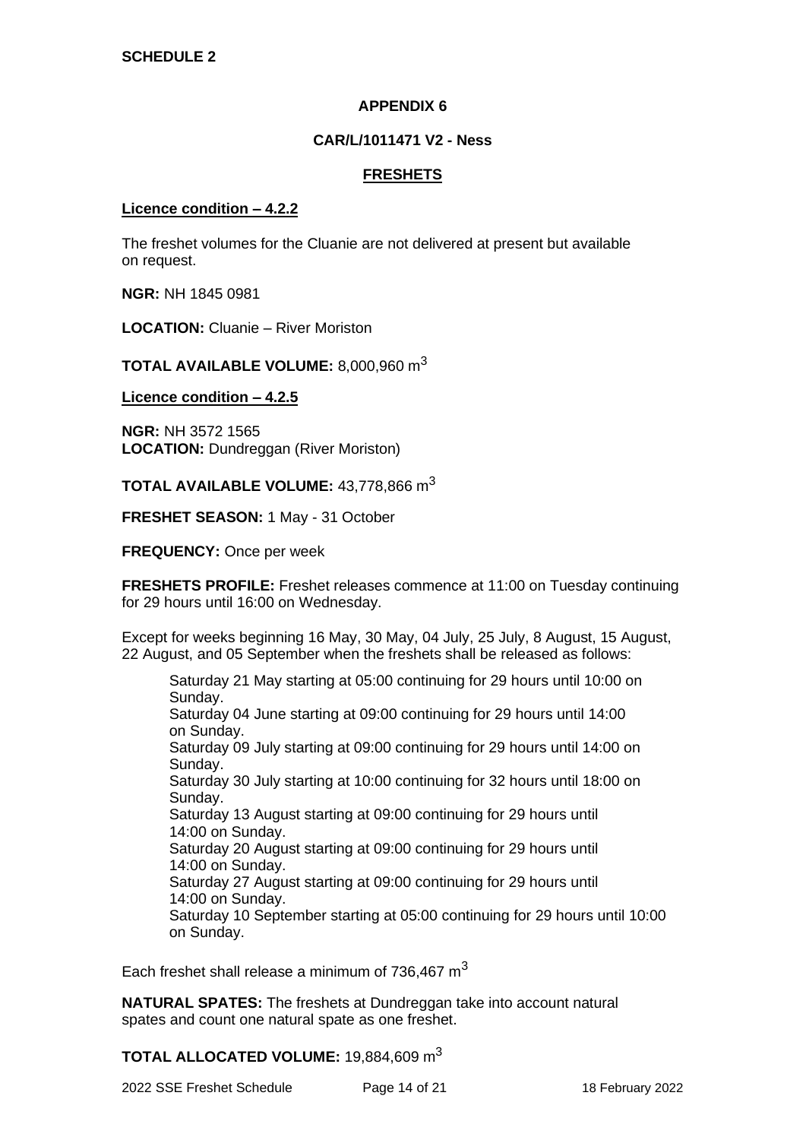#### **CAR/L/1011471 V2 - Ness**

### **FRESHETS**

#### **Licence condition – 4.2.2**

The freshet volumes for the Cluanie are not delivered at present but available on request.

**NGR:** NH 1845 0981

**LOCATION:** Cluanie – River Moriston

**TOTAL AVAILABLE VOLUME:** 8,000,960 m<sup>3</sup>

**Licence condition – 4.2.5**

**NGR:** NH 3572 1565 **LOCATION:** Dundreggan (River Moriston)

**TOTAL AVAILABLE VOLUME:** 43,778,866 m<sup>3</sup>

**FRESHET SEASON:** 1 May - 31 October

**FREQUENCY:** Once per week

**FRESHETS PROFILE:** Freshet releases commence at 11:00 on Tuesday continuing for 29 hours until 16:00 on Wednesday.

Except for weeks beginning 16 May, 30 May, 04 July, 25 July, 8 August, 15 August, 22 August, and 05 September when the freshets shall be released as follows:

Saturday 21 May starting at 05:00 continuing for 29 hours until 10:00 on Sunday. Saturday 04 June starting at 09:00 continuing for 29 hours until 14:00 on Sunday. Saturday 09 July starting at 09:00 continuing for 29 hours until 14:00 on Sunday. Saturday 30 July starting at 10:00 continuing for 32 hours until 18:00 on Sunday. Saturday 13 August starting at 09:00 continuing for 29 hours until 14:00 on Sunday. Saturday 20 August starting at 09:00 continuing for 29 hours until 14:00 on Sunday. Saturday 27 August starting at 09:00 continuing for 29 hours until 14:00 on Sunday. Saturday 10 September starting at 05:00 continuing for 29 hours until 10:00 on Sunday.

Each freshet shall release a minimum of 736,467  $m<sup>3</sup>$ 

**NATURAL SPATES:** The freshets at Dundreggan take into account natural spates and count one natural spate as one freshet.

**TOTAL ALLOCATED VOLUME:** 19,884,609 m<sup>3</sup>

2022 SSE Freshet Schedule Page 14 of 21 18 February 2022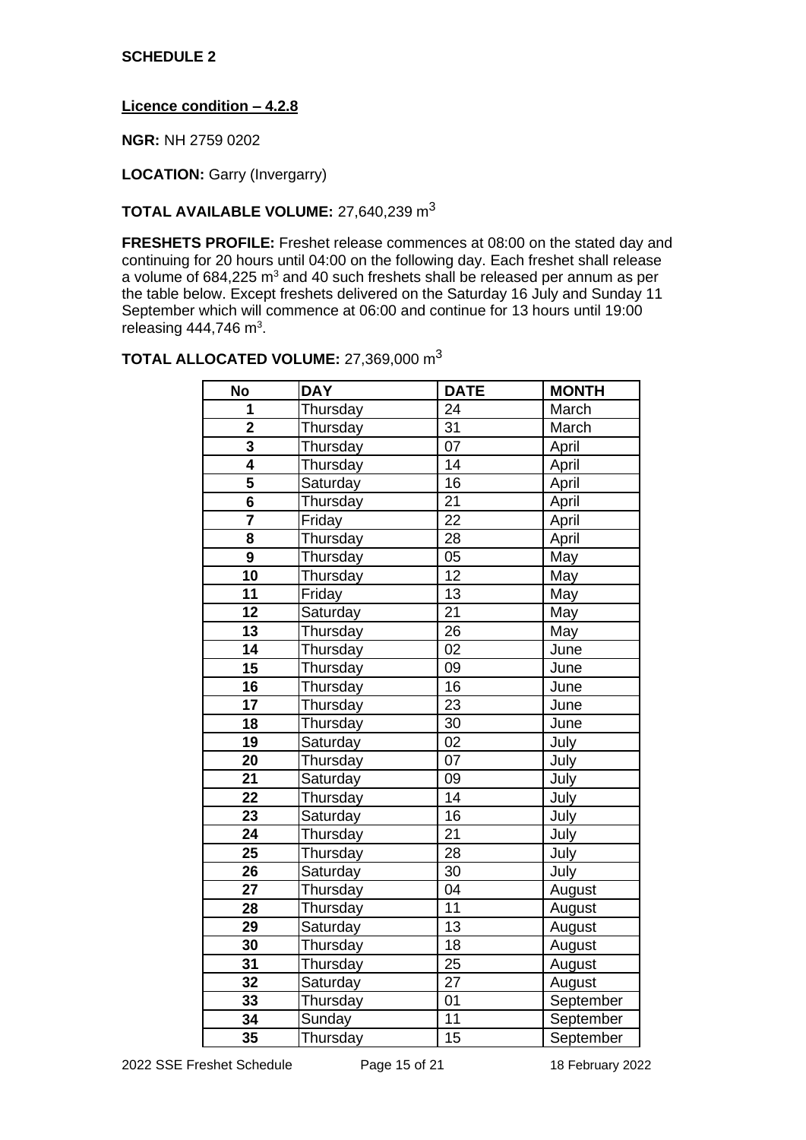**Licence condition – 4.2.8**

**NGR:** NH 2759 0202

**LOCATION:** Garry (Invergarry)

# **TOTAL AVAILABLE VOLUME:** 27,640,239 m<sup>3</sup>

**FRESHETS PROFILE:** Freshet release commences at 08:00 on the stated day and continuing for 20 hours until 04:00 on the following day. Each freshet shall release a volume of 684,225 m<sup>3</sup> and 40 such freshets shall be released per annum as per the table below. Except freshets delivered on the Saturday 16 July and Sunday 11 September which will commence at 06:00 and continue for 13 hours until 19:00 releasing 444,746 m<sup>3</sup>.

# **TOTAL ALLOCATED VOLUME:** 27,369,000 m<sup>3</sup>

| <b>No</b>               | <b>DAY</b> | <b>DATE</b>     | <b>MONTH</b> |
|-------------------------|------------|-----------------|--------------|
| 1                       | Thursday   | 24              | March        |
| $\overline{\mathbf{2}}$ | Thursday   | 31              | March        |
| 3                       | Thursday   | 07              | April        |
| $\overline{\mathbf{4}}$ | Thursday   | 14              | April        |
| $\overline{5}$          | Saturday   | $\overline{16}$ | April        |
| $6\phantom{1}6$         | Thursday   | $\overline{21}$ | April        |
|                         | Friday     | $\overline{22}$ | April        |
| 8                       | Thursday   | 28              | April        |
| $\overline{9}$          | Thursday   | 05              | May          |
| 10                      | Thursday   | 12              | May          |
| 11                      | Friday     | 13              | May          |
| 12                      | Saturday   | 21              | May          |
| 13                      | Thursday   | 26              | May          |
| 14                      | Thursday   | 02              | June         |
| 15                      | Thursday   | 09              | June         |
| 16                      | Thursday   | 16              | June         |
| 17                      | Thursday   | 23              | June         |
| 18                      | Thursday   | 30              | June         |
| 19                      | Saturday   | 02              | July         |
| 20                      | Thursday   | 07              | July         |
| 21                      | Saturday   | 09              | July         |
| 22                      | Thursday   | $\overline{14}$ | July         |
| 23                      | Saturday   | 16              | July         |
| 24                      | Thursday   | 21              | July         |
| 25                      | Thursday   | 28              | July         |
| 26                      | Saturday   | 30              | July         |
| 27                      | Thursday   | 04              | August       |
| 28                      | Thursday   | 11              | August       |
| 29                      | Saturday   | 13              | August       |
| 30                      | Thursday   | 18              | August       |
| 31                      | Thursday   | 25              | August       |
| 32                      | Saturday   | $\overline{27}$ | August       |
| 33                      | Thursday   | 01              | September    |
| 34                      | Sunday     | $\overline{11}$ | September    |
| 35                      | Thursday   | 15              | September    |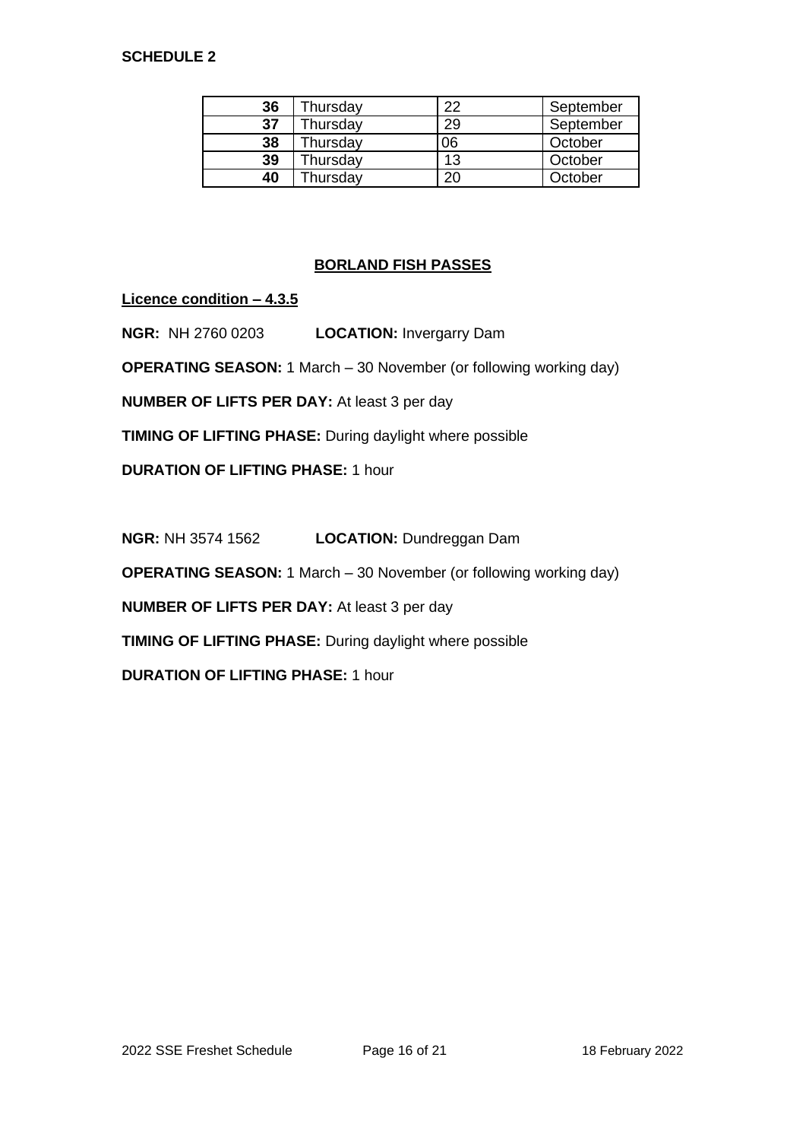| 36 | Thursday | າາ | September |
|----|----------|----|-----------|
| 37 | Thursday | 29 | September |
| 38 | Thursday | 06 | October   |
| 39 | Thursday | 13 | October   |
| 40 | hursday  | חר | October   |

# **BORLAND FISH PASSES**

**Licence condition – 4.3.5**

**NGR:** NH 2760 0203 **LOCATION:** Invergarry Dam

**OPERATING SEASON:** 1 March – 30 November (or following working day)

**NUMBER OF LIFTS PER DAY:** At least 3 per day

**TIMING OF LIFTING PHASE:** During daylight where possible

**DURATION OF LIFTING PHASE:** 1 hour

**NGR: NH 3574 1562 LOCATION: Dundreggan Dam** 

**OPERATING SEASON:** 1 March – 30 November (or following working day)

**NUMBER OF LIFTS PER DAY:** At least 3 per day

**TIMING OF LIFTING PHASE:** During daylight where possible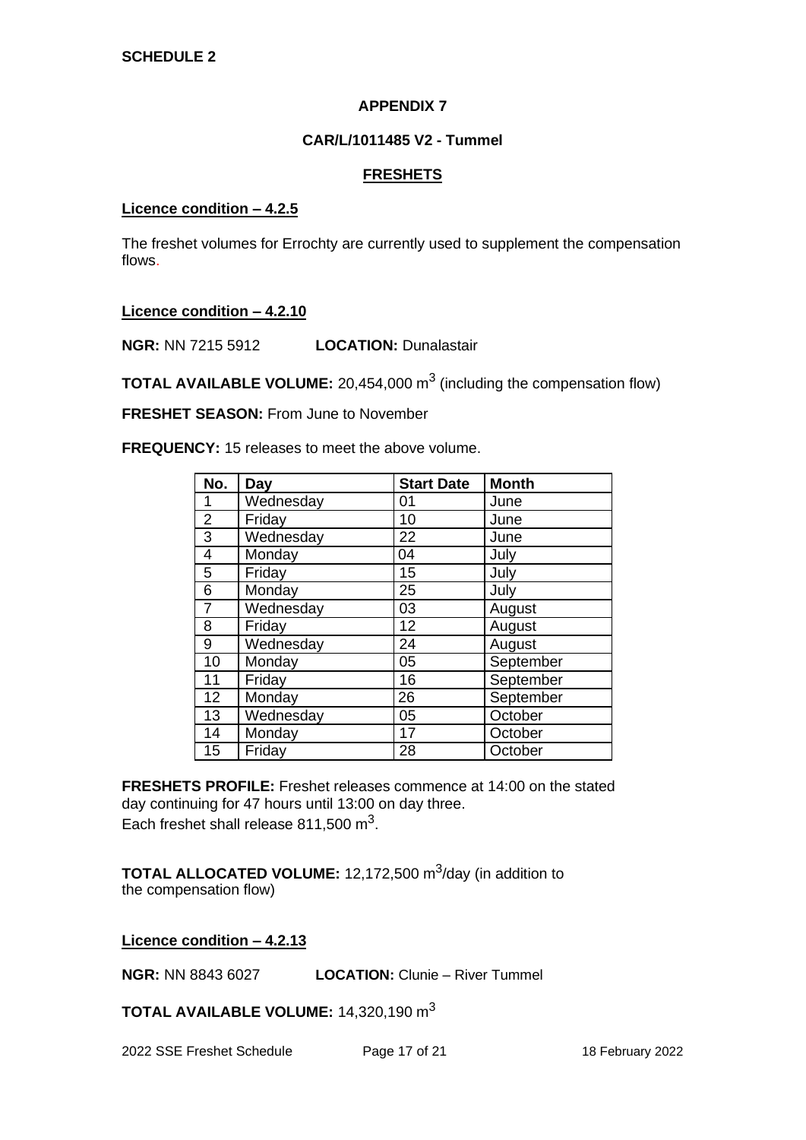## **CAR/L/1011485 V2 - Tummel**

## **FRESHETS**

#### **Licence condition – 4.2.5**

The freshet volumes for Errochty are currently used to supplement the compensation flows.

### **Licence condition – 4.2.10**

**NGR:** NN 7215 5912 **LOCATION:** Dunalastair

**TOTAL AVAILABLE VOLUME:** 20,454,000 m<sup>3</sup> (including the compensation flow)

**FRESHET SEASON:** From June to November

**FREQUENCY:** 15 releases to meet the above volume.

| No.            | Day       | <b>Start Date</b> | <b>Month</b> |
|----------------|-----------|-------------------|--------------|
| 1              | Wednesday | 01                | June         |
| $\overline{2}$ | Friday    | 10                | June         |
| $\overline{3}$ | Wednesday | 22                | June         |
| $\overline{4}$ | Monday    | 04                | July         |
| 5              | Friday    | 15                | July         |
| 6              | Monday    | 25                | July         |
| $\overline{7}$ | Wednesday | 03                | August       |
| 8              | Friday    | 12                | August       |
| 9              | Wednesday | 24                | August       |
| 10             | Monday    | 05                | September    |
| 11             | Friday    | 16                | September    |
| 12             | Monday    | 26                | September    |
| 13             | Wednesday | 05                | October      |
| 14             | Monday    | 17                | October      |
| 15             | Friday    | 28                | October      |

**FRESHETS PROFILE:** Freshet releases commence at 14:00 on the stated day continuing for 47 hours until 13:00 on day three. Each freshet shall release 811,500 m<sup>3</sup>.

**TOTAL ALLOCATED VOLUME:** 12,172,500 m<sup>3</sup>/day (in addition to the compensation flow)

### **Licence condition – 4.2.13**

**NGR:** NN 8843 6027 **LOCATION:** Clunie – River Tummel

**TOTAL AVAILABLE VOLUME:** 14,320,190 m<sup>3</sup>

2022 SSE Freshet Schedule Page 17 of 21 18 February 2022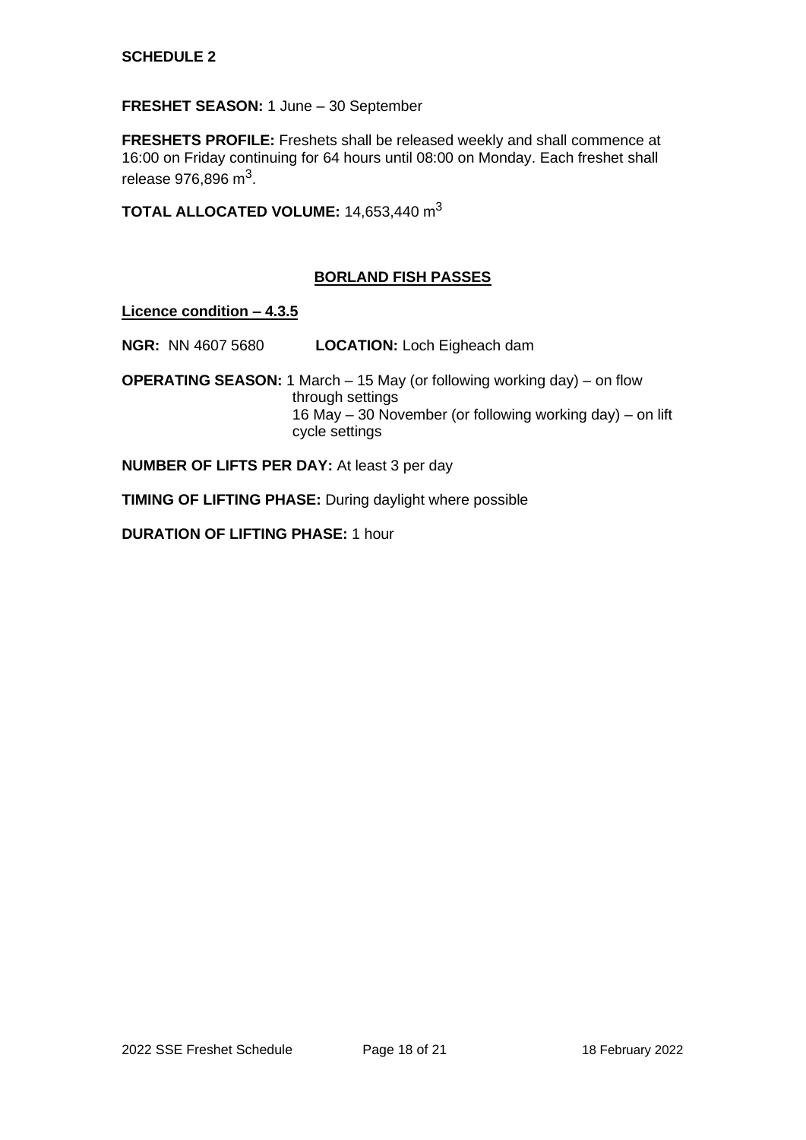# **FRESHET SEASON:** 1 June – 30 September

**FRESHETS PROFILE:** Freshets shall be released weekly and shall commence at 16:00 on Friday continuing for 64 hours until 08:00 on Monday. Each freshet shall release 976,896 m $^3$ .

**TOTAL ALLOCATED VOLUME:** 14,653,440 m<sup>3</sup>

# **BORLAND FISH PASSES**

**Licence condition – 4.3.5**

**NGR:** NN 4607 5680 **LOCATION:** Loch Eigheach dam

**OPERATING SEASON:** 1 March – 15 May (or following working day) – on flow through settings 16 May – 30 November (or following working day) – on lift cycle settings

**NUMBER OF LIFTS PER DAY:** At least 3 per day

**TIMING OF LIFTING PHASE:** During daylight where possible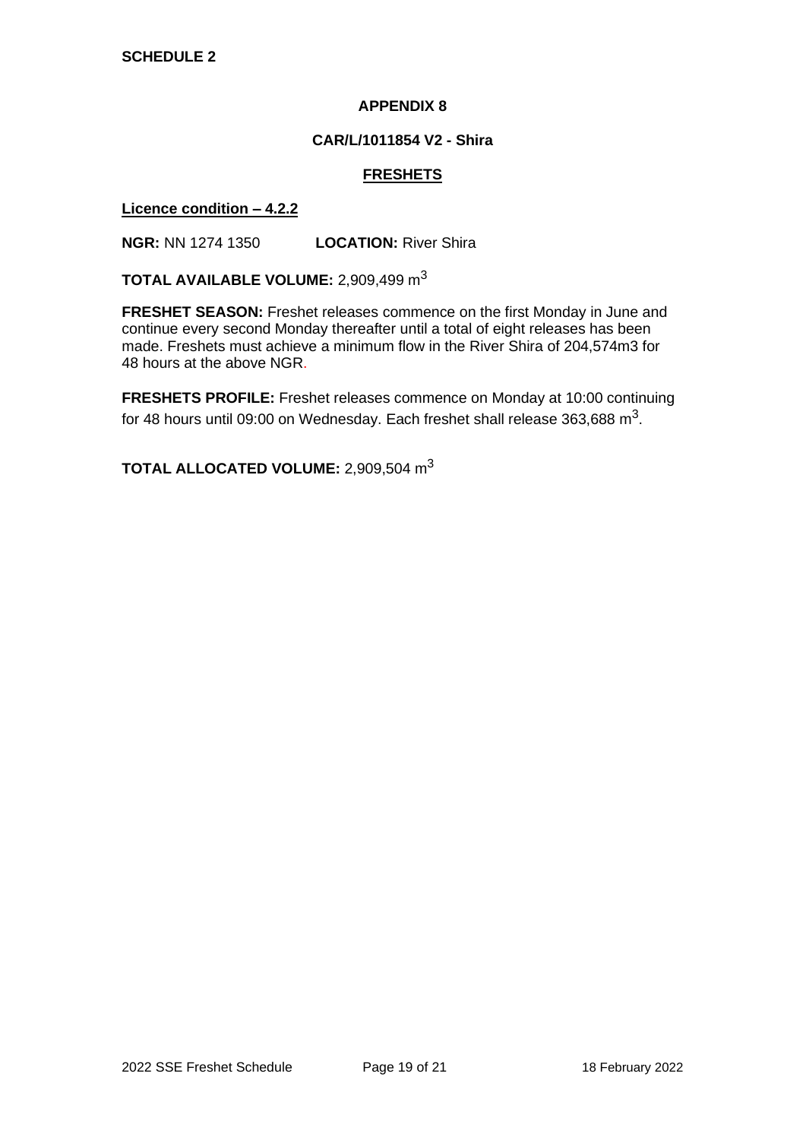#### **CAR/L/1011854 V2 - Shira**

### **FRESHETS**

#### **Licence condition – 4.2.2**

**NGR:** NN 1274 1350 **LOCATION:** River Shira

**TOTAL AVAILABLE VOLUME:** 2,909,499 m<sup>3</sup>

**FRESHET SEASON:** Freshet releases commence on the first Monday in June and continue every second Monday thereafter until a total of eight releases has been made. Freshets must achieve a minimum flow in the River Shira of 204,574m3 for 48 hours at the above NGR.

**FRESHETS PROFILE:** Freshet releases commence on Monday at 10:00 continuing for 48 hours until 09:00 on Wednesday. Each freshet shall release 363,688 m<sup>3</sup>.

**TOTAL ALLOCATED VOLUME:** 2,909,504 m<sup>3</sup>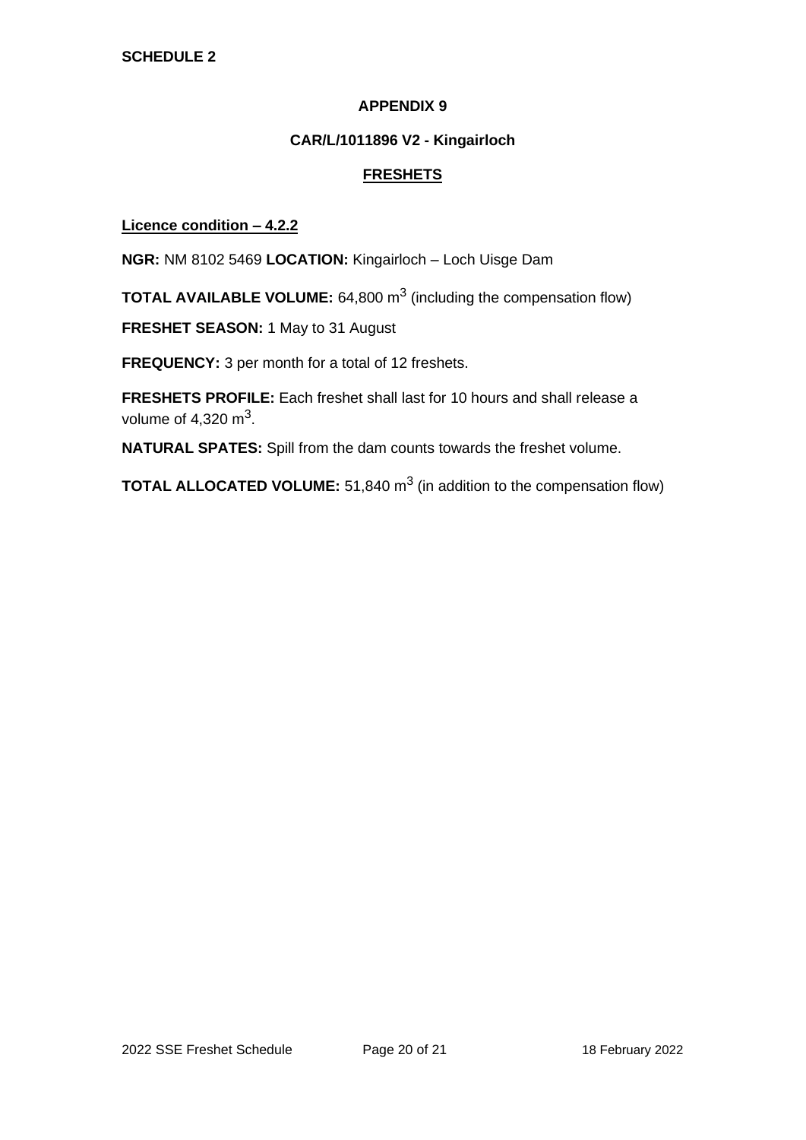## **CAR/L/1011896 V2 - Kingairloch**

# **FRESHETS**

## **Licence condition – 4.2.2**

**NGR:** NM 8102 5469 **LOCATION:** Kingairloch – Loch Uisge Dam

**TOTAL AVAILABLE VOLUME:** 64,800 m<sup>3</sup> (including the compensation flow)

**FRESHET SEASON:** 1 May to 31 August

**FREQUENCY:** 3 per month for a total of 12 freshets.

**FRESHETS PROFILE:** Each freshet shall last for 10 hours and shall release a volume of 4,320 m $^3$ .

**NATURAL SPATES:** Spill from the dam counts towards the freshet volume.

**TOTAL ALLOCATED VOLUME:** 51,840 m<sup>3</sup> (in addition to the compensation flow)